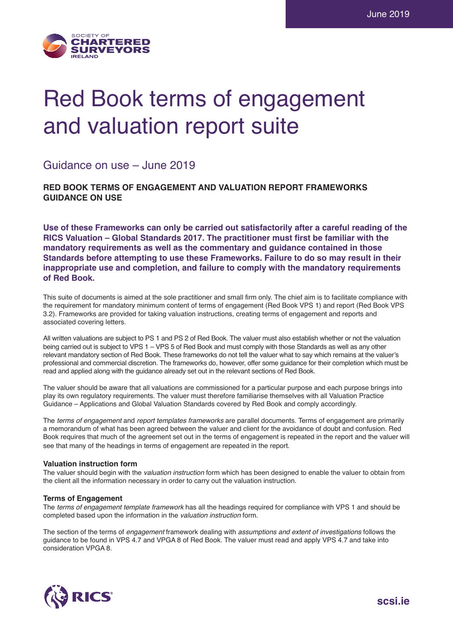

# Red Book terms of engagement and valuation report suite

# Guidance on use – June 2019

**RED BOOK TERMS OF ENGAGEMENT AND VALUATION REPORT FRAMEWORKS GUIDANCE ON USE**

**Use of these Frameworks can only be carried out satisfactorily after a careful reading of the RICS Valuation – Global Standards 2017. The practitioner must first be familiar with the mandatory requirements as well as the commentary and guidance contained in those Standards before attempting to use these Frameworks. Failure to do so may result in their inappropriate use and completion, and failure to comply with the mandatory requirements of Red Book.**

This suite of documents is aimed at the sole practitioner and small firm only. The chief aim is to facilitate compliance with the requirement for mandatory minimum content of terms of engagement (Red Book VPS 1) and report (Red Book VPS 3.2). Frameworks are provided for taking valuation instructions, creating terms of engagement and reports and associated covering letters.

All written valuations are subject to PS 1 and PS 2 of Red Book. The valuer must also establish whether or not the valuation being carried out is subject to VPS 1 – VPS 5 of Red Book and must comply with those Standards as well as any other relevant mandatory section of Red Book. These frameworks do not tell the valuer what to say which remains at the valuer's professional and commercial discretion. The frameworks do, however, offer some guidance for their completion which must be read and applied along with the guidance already set out in the relevant sections of Red Book.

The valuer should be aware that all valuations are commissioned for a particular purpose and each purpose brings into play its own regulatory requirements. The valuer must therefore familiarise themselves with all Valuation Practice Guidance – Applications and Global Valuation Standards covered by Red Book and comply accordingly.

The *terms of engagement* and *report templates frameworks* are parallel documents. Terms of engagement are primarily a memorandum of what has been agreed between the valuer and client for the avoidance of doubt and confusion. Red Book requires that much of the agreement set out in the terms of engagement is repeated in the report and the valuer will see that many of the headings in terms of engagement are repeated in the report.

# **Valuation instruction form**

The valuer should begin with the *valuation instruction* form which has been designed to enable the valuer to obtain from the client all the information necessary in order to carry out the valuation instruction.

# **Terms of Engagement**

The *terms of engagement template framework* has all the headings required for compliance with VPS 1 and should be completed based upon the information in the *valuation instruction* form.

The section of the terms of *engagement* framework dealing with *assumptions and extent of investigations* follows the guidance to be found in VPS 4.7 and VPGA 8 of Red Book. The valuer must read and apply VPS 4.7 and take into consideration VPGA 8.